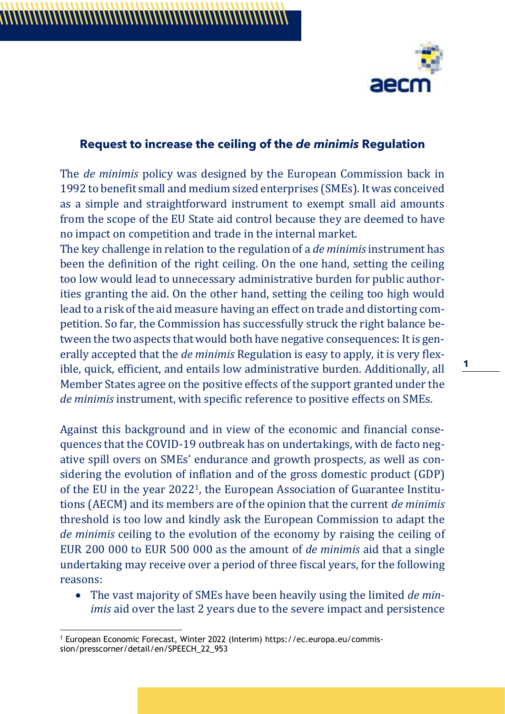

## **Request to increase the ceiling of the** *de minimis* **Regulation**

The *de minimis* policy was designed by the European Commission back in 1992 to benefit small and medium sized enterprises (SMEs). It was conceived as a simple and straightforward instrument to exempt small aid amounts from the scope of the EU State aid control because they are deemed to have no impact on competition and trade in the internal market.

The key challenge in relation to the regulation of a *de minimis*instrument has been the definition of the right ceiling. On the one hand, setting the ceiling too low would lead to unnecessary administrative burden for public authorities granting the aid. On the other hand, setting the ceiling too high would lead to a risk of the aid measure having an effect on trade and distorting competition. So far, the Commission has successfully struck the right balance between the two aspects that would both have negative consequences: It is generally accepted that the *de minimis* Regulation is easy to apply, it is very flexible, quick, efficient, and entails low administrative burden. Additionally, all Member States agree on the positive effects of the support granted under the *de minimis* instrument, with specific reference to positive effects on SMEs.

Against this background and in view of the economic and financial consequences that the COVID-19 outbreak has on undertakings, with de facto negative spill overs on SMEs' endurance and growth prospects, as well as considering the evolution of inflation and of the gross domestic product (GDP) of the EU in the year 20221, the European Association of Guarantee Institutions (AECM) and its members are of the opinion that the current *de minimis* threshold is too low and kindly ask the European Commission to adapt the *de minimis* ceiling to the evolution of the economy by raising the ceiling of EUR 200 000 to EUR 500 000 as the amount of *de minimis* aid that a single undertaking may receive over a period of three fiscal years, for the following reasons:

• The vast majority of SMEs have been heavily using the limited *de minimis* aid over the last 2 years due to the severe impact and persistence **1**

<sup>1</sup> European Economic Forecast, Winter 2022 (Interim) https://ec.europa.eu/commission/presscorner/detail/en/SPEECH\_22\_953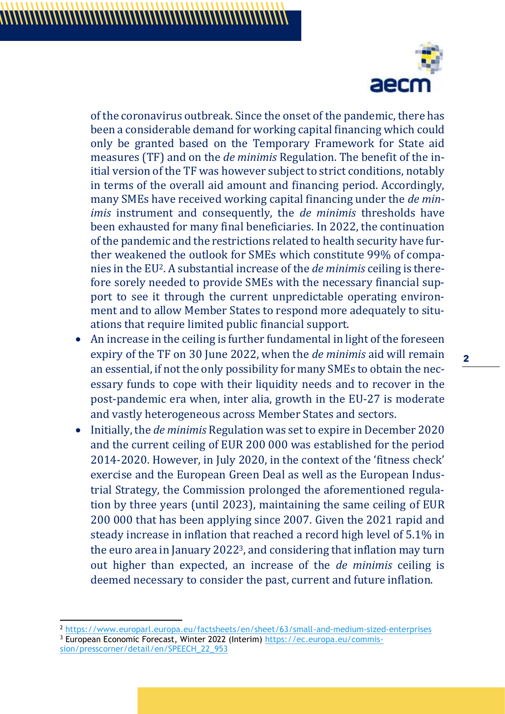

of the coronavirus outbreak. Since the onset of the pandemic, there has been a considerable demand for working capital financing which could only be granted based on the Temporary Framework for State aid measures (TF) and on the *de minimis* Regulation. The benefit of the initial version of the TF was however subject to strict conditions, notably in terms of the overall aid amount and financing period. Accordingly, many SMEs have received working capital financing under the *de minimis* instrument and consequently, the *de minimis* thresholds have been exhausted for many final beneficiaries. In 2022, the continuation of the pandemic and the restrictions related to health security have further weakened the outlook for SMEs which constitute 99% of companies in the EU2. A substantial increase of the *de minimis* ceiling is therefore sorely needed to provide SMEs with the necessary financial support to see it through the current unpredictable operating environment and to allow Member States to respond more adequately to situations that require limited public financial support.

- An increase in the ceiling is further fundamental in light of the foreseen expiry of the TF on 30 June 2022, when the *de minimis* aid will remain an essential, if not the only possibility for many SMEs to obtain the necessary funds to cope with their liquidity needs and to recover in the post-pandemic era when, inter alia, growth in the EU-27 is moderate and vastly heterogeneous across Member States and sectors.
- Initially, the *de minimis* Regulation was set to expire in December 2020 and the current ceiling of EUR 200 000 was established for the period 2014-2020. However, in July 2020, in the context of the 'fitness check' exercise and the European Green Deal as well as the European Industrial Strategy, the Commission prolonged the aforementioned regulation by three years (until 2023), maintaining the same ceiling of EUR 200 000 that has been applying since 2007. Given the 2021 rapid and steady increase in inflation that reached a record high level of 5.1% in the euro area in January 20223, and considering that inflation may turn out higher than expected, an increase of the *de minimis* ceiling is deemed necessary to consider the past, current and future inflation.

<sup>2</sup> <https://www.europarl.europa.eu/factsheets/en/sheet/63/small-and-medium-sized-enterprises>

<sup>3</sup> European Economic Forecast, Winter 2022 (Interim) [https://ec.europa.eu/commis](https://ec.europa.eu/commission/presscorner/detail/en/SPEECH_22_953)[sion/presscorner/detail/en/SPEECH\\_22\\_953](https://ec.europa.eu/commission/presscorner/detail/en/SPEECH_22_953)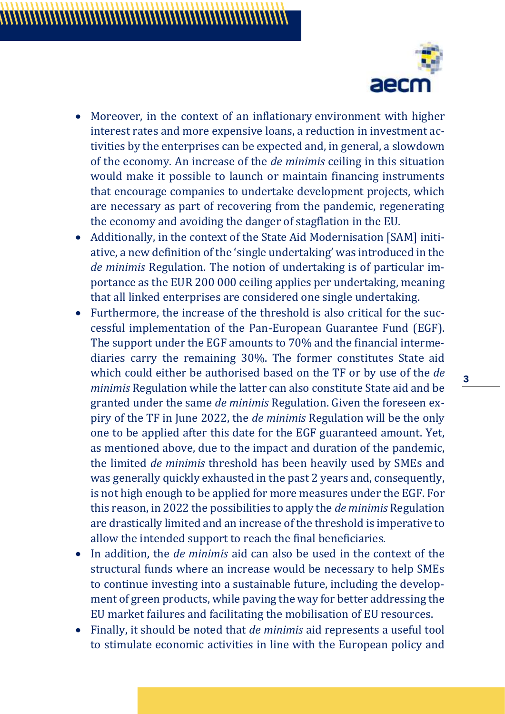

- Moreover, in the context of an inflationary environment with higher interest rates and more expensive loans, a reduction in investment activities by the enterprises can be expected and, in general, a slowdown of the economy. An increase of the *de minimis* ceiling in this situation would make it possible to launch or maintain financing instruments that encourage companies to undertake development projects, which are necessary as part of recovering from the pandemic, regenerating the economy and avoiding the danger of stagflation in the EU.
- Additionally, in the context of the State Aid Modernisation [SAM] initiative, a new definition of the 'single undertaking' was introduced in the *de minimis* Regulation. The notion of undertaking is of particular importance as the EUR 200 000 ceiling applies per undertaking, meaning that all linked enterprises are considered one single undertaking.
- Furthermore, the increase of the threshold is also critical for the successful implementation of the Pan-European Guarantee Fund (EGF). The support under the EGF amounts to 70% and the financial intermediaries carry the remaining 30%. The former constitutes State aid which could either be authorised based on the TF or by use of the *de minimis* Regulation while the latter can also constitute State aid and be granted under the same *de minimis* Regulation. Given the foreseen expiry of the TF in June 2022, the *de minimis* Regulation will be the only one to be applied after this date for the EGF guaranteed amount. Yet, as mentioned above, due to the impact and duration of the pandemic, the limited *de minimis* threshold has been heavily used by SMEs and was generally quickly exhausted in the past 2 years and, consequently, is not high enough to be applied for more measures under the EGF. For this reason, in 2022 the possibilities to apply the *de minimis* Regulation are drastically limited and an increase of the threshold is imperative to allow the intended support to reach the final beneficiaries.
- In addition, the *de minimis* aid can also be used in the context of the structural funds where an increase would be necessary to help SMEs to continue investing into a sustainable future, including the development of green products, while paving the way for better addressing the EU market failures and facilitating the mobilisation of EU resources.
- Finally, it should be noted that *de minimis* aid represents a useful tool to stimulate economic activities in line with the European policy and

**3**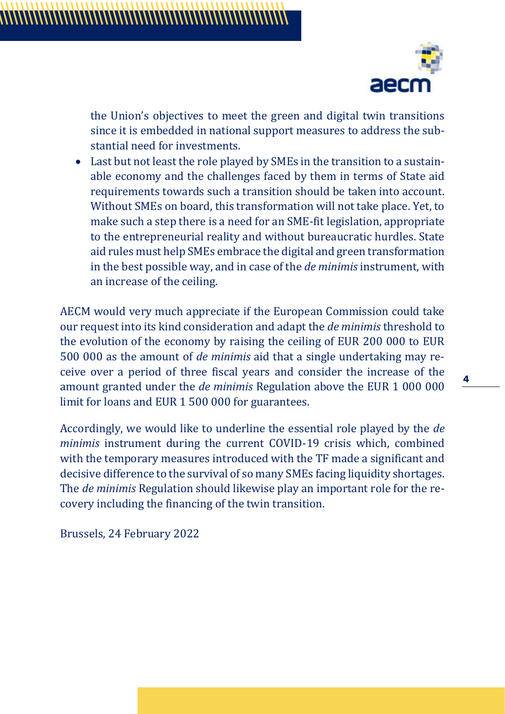

the Union's objectives to meet the green and digital twin transitions since it is embedded in national support measures to address the substantial need for investments.

• Last but not least the role played by SMEs in the transition to a sustainable economy and the challenges faced by them in terms of State aid requirements towards such a transition should be taken into account. Without SMEs on board, this transformation will not take place. Yet, to make such a step there is a need for an SME-fit legislation, appropriate to the entrepreneurial reality and without bureaucratic hurdles. State aid rules must help SMEs embrace the digital and green transformation in the best possible way, and in case of the *de minimis* instrument, with an increase of the ceiling.

AECM would very much appreciate if the European Commission could take our request into its kind consideration and adapt the *de minimis* threshold to the evolution of the economy by raising the ceiling of EUR 200 000 to EUR 500 000 as the amount of *de minimis* aid that a single undertaking may receive over a period of three fiscal years and consider the increase of the amount granted under the *de minimis* Regulation above the EUR 1 000 000 limit for loans and EUR 1 500 000 for guarantees.

Accordingly, we would like to underline the essential role played by the *de minimis* instrument during the current COVID-19 crisis which, combined with the temporary measures introduced with the TF made a significant and decisive difference to the survival of so many SMEs facing liquidity shortages. The *de minimis* Regulation should likewise play an important role for the recovery including the financing of the twin transition.

Brussels, 24 February 2022